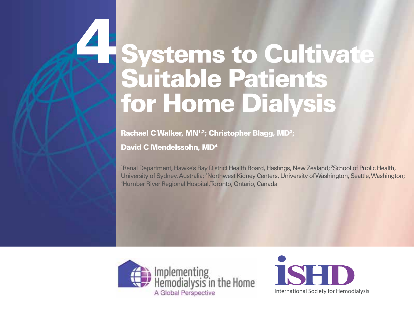Rachael C Walker, MN<sup>1,2</sup>; Christopher Blagg, MD<sup>3</sup>;

David C Mendelssohn, MD4

4

<sup>1</sup>Renal Department, Hawke's Bay District Health Board, Hastings, New Zealand; <sup>2</sup>School of Public Health, University of Sydney, Australia; <sup>3</sup>Northwest Kidney Centers, University of Washington, Seattle, Washington; 4 Humber River Regional Hospital, Toronto, Ontario, Canada



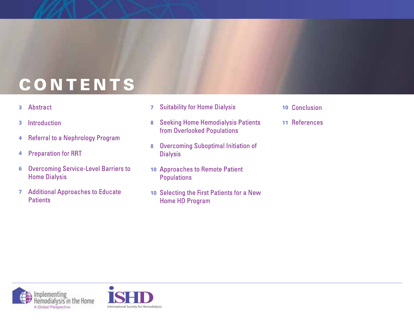# CONTENTS

Abstract **3**

2

- Introduction **3**
- **Referral to a Nephrology Program 4**
- **Preparation for RRT 4**
- **Overcoming Service-Level Barriers to 6 Home Dialysis**
- **7** Additional Approaches to Educate **Patients**
- **Suitability for Home Dialysis 7**
- **Seeking Home Hemodialysis Patients 8** from Overlooked Populations
- **Overcoming Suboptimal Initiation of 8 Dialysis**
- **10 Approaches to Remote Patient Populations**
- **10** Selecting the First Patients for a New **Home HD Program**
- 10 Conclusion
- **11**





System to Cultivate System to Cultivate Suitable System to Cultivate System to Cultivate System to Cultivate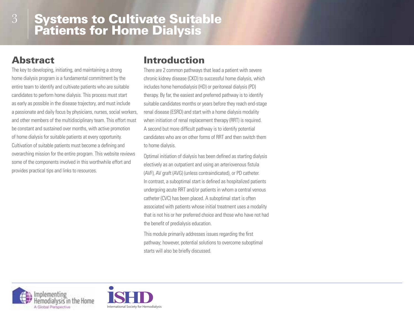# Abstract

The key to developing, initiating, and maintaining a strong home dialysis program is a fundamental commitment by the entire team to identify and cultivate patients who are suitable candidates to perform home dialysis. This process must start as early as possible in the disease trajectory, and must include a passionate and daily focus by physicians, nurses, social workers, and other members of the multidisciplinary team. This effort must be constant and sustained over months, with active promotion of home dialysis for suitable patients at every opportunity. Cultivation of suitable patients must become a defining and overarching mission for the entire program. This website reviews some of the components involved in this worthwhile effort and provides practical tips and links to resources.

## Introduction

There are 2 common pathways that lead a patient with severe chronic kidney disease (CKD) to successful home dialysis, which includes home hemodialysis (HD) or peritoneal dialysis (PD) therapy. By far, the easiest and preferred pathway is to identify suitable candidates months or years before they reach end-stage renal disease (ESRD) and start with a home dialysis modality when initiation of renal replacement therapy (RRT) is required. A second but more difficult pathway is to identify potential candidates who are on other forms of RRT and then switch them to home dialysis.

Optimal initiation of dialysis has been defined as starting dialysis electively as an outpatient and using an arteriovenous fistula (AVF), AV graft (AVG) (unless contraindicated), or PD catheter. In contrast, a suboptimal start is defined as hospitalized patients undergoing acute RRT and/or patients in whom a central venous catheter (CVC) has been placed. A suboptimal start is often associated with patients whose initial treatment uses a modality that is not his or her preferred choice and those who have not had the benefit of predialysis education.

This module primarily addresses issues regarding the first pathway; however, potential solutions to overcome suboptimal starts will also be briefly discussed.



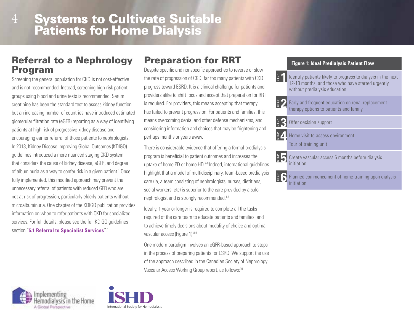## Referral to a Nephrology Program

Screening the general population for CKD is not cost-effective and is not recommended. Instead, screening high-risk patient groups using blood and urine tests is recommended. Serum creatinine has been the standard test to assess kidney function, but an increasing number of countries have introduced estimated glomerular filtration rate (eGFR) reporting as a way of identifying patients at high risk of progressive kidney disease and encouraging earlier referral of those patients to nephrologists. In 2013, Kidney Disease Improving Global Outcomes (KDIGO) guidelines introduced a more nuanced staging CKD system that considers the cause of kidney disease, eGFR, and degree of albuminuria as a way to confer risk in a given patient.<sup>1</sup> Once fully implemented, this modified approach may prevent the unnecessary referral of patients with reduced GFR who are not at risk of progression, particularly elderly patients without microalbuminuria. One chapter of the KDIGO publication provides information on when to refer patients with CKD for specialized services. For full details, please see the full KDIGO guidelines section "**5.1 Referral to Specialist Services**".1

# Preparation for RRT

Despite specific and nonspecific approaches to reverse or slow the rate of progression of CKD, far too many patients with CKD progress toward ESRD. It is a clinical challenge for patients and providers alike to shift focus and accept that preparation for RRT is required. For providers, this means accepting that therapy has failed to prevent progression. For patients and families, this means overcoming denial and other defense mechanisms, and considering information and choices that may be frightening and perhaps months or years away.

There is considerable evidence that offering a formal predialysis program is beneficial to patient outcomes and increases the uptake of home PD or home HD.<sup>2-6</sup> Indeed, international guidelines highlight that a model of multidisciplinary, team-based predialysis care (ie, a team consisting of nephrologists, nurses, dietitians, social workers, etc) is superior to the care provided by a solo nephrologist and is strongly recommended.<sup>1,7</sup>

Ideally, 1 year or longer is required to complete all the tasks required of the care team to educate patients and families, and to achieve timely decisions about modality of choice and optimal vascular access (Figure 1).<sup>8,9</sup>

One modern paradigm involves an eGFR-based approach to steps in the process of preparing patients for ESRD. We support the use of the approach described in the Canadian Society of Nephrology Vascular Access Working Group report, as follows:<sup>10</sup>

#### **Figure 1: Ideal Predialysis Patient Flow**





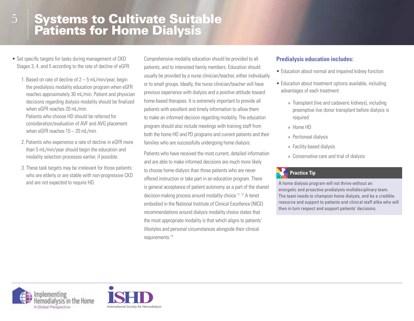- Set specific targets for tasks during management of CKD Stages 3, 4, and 5 according to the rate of decline of eGFR:
	- 1. Based on rate of decline of 2 5 mL/min/year, begin the predialysis modality education program when eGFR reaches approximately 30 mL/min. Patient and physician decisions regarding dialysis modality should be finalized when eGFR reaches 20 mL/min. Patients who choose HD should be referred for consideration/evaluation of AVF and AVG placement when eGFR reaches 15 – 20 mL/min.
	- 2. Patients who experience a rate of decline in eGFR more than 5 mL/min/year should begin the education and modality selection processes earlier, if possible.
	- 3. These task targets may be irrelevant for those patients who are elderly or are stable with non-progressive CKD and are not expected to require HD.

Comprehensive modality education should be provided to all patients, and to interested family members. Education should usually be provided by a nurse clinician/teacher, either individually or to small groups. Ideally, the nurse clinician/teacher will have previous experience with dialysis and a positive attitude toward home-based therapies. It is extremely important to provide all patients with excellent and timely information to allow them to make an informed decision regarding modality. The education program should also include meetings with training staff from both the home HD and PD programs and current patients and their families who are successfully undergoing home dialysis.

Patients who have received the most current, detailed information and are able to make informed decisions are much more likely to choose home dialysis than those patients who are never offered instruction or take part in an education program. There is general acceptance of patient autonomy as a part of the shared decision-making process around modality choice.11, 12 A tenet embodied in the National Institute of Clinical Excellence (NICE) recommendations around dialysis modality choice states that the most appropriate modality is that which aligns to patients' lifestyles and personal circumstances alongside their clinical requirements.13

#### **Predialysis education includes:**

- Education about normal and impaired kidney function
- Education about treatment options available, including advantages of each treatment
	- » Transplant (live and cadaveric kidneys), including preemptive live donor transplant before dialysis is required
	- » Home HD
	- » Peritoneal dialysis
	- » Facility-based dialysis
	- » Conservative care and trial of dialysis

#### **Practice Tip**

A home dialysis program will not thrive without an energetic and proactive predialysis multidisciplinary team. The team needs to champion home dialysis, and be a credible resource and support to patients and clinical staff alike who will then in turn respect and support patients' decisions.



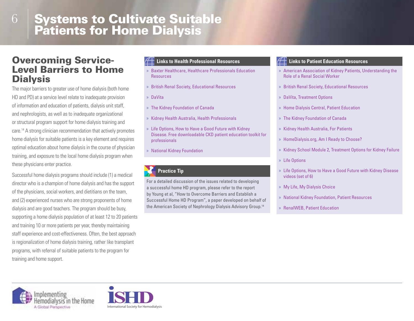#### Overcoming Service-Level Barriers to Home **Dialysis**

6

The major barriers to greater use of home dialysis (both home HD and PD) at a service level relate to inadequate provision of information and education of patients, dialysis unit staff, and nephrologists, as well as to inadequate organizational or structural program support for home dialysis training and care.14 A strong clinician recommendation that actively promotes home dialysis for suitable patients is a key element and requires optimal education about home dialysis in the course of physician training, and exposure to the local home dialysis program when these physicians enter practice.

Successful home dialysis programs should include (1) a medical director who is a champion of home dialysis and has the support of the physicians, social workers, and dietitians on the team, and (2) experienced nurses who are strong proponents of home dialysis and are good teachers. The program should be busy, supporting a home dialysis population of at least 12 to 20 patients and training 10 or more patients per year, thereby maintaining staff experience and cost-effectiveness. Often, the best approach is regionalization of home dialysis training, rather like transplant programs, with referral of suitable patients to the program for training and home support.

- » Baxter Healthcare, Healthcare Professionals Education **Resources**
- » British Renal Society, Educational Resources
- » DaVita
- » The Kidney Foundation of Canada
- » Kidney Health Australia, Health Professionals
- » Life Options, How to Have a Good Future with Kidney Disease. Free downloadable CKD patient education toolkit for professionals
- » National Kidney Foundation

#### **Practice Tip**

For a detailed discussion of the issues related to developing a successful home HD program, please refer to the report by Young et al, "How to Overcome Barriers and Establish a Successful Home HD Program", a paper developed on behalf of the American Society of Nephrology Dialysis Advisory Group.14

#### **Links to Health Professional Resources Links to Patient Education Resources**

- » American Association of Kidney Patients, Understanding the Role of a Renal Social Worker
- » British Renal Society, Educational Resources
- » DaVita, Treatment Options
- » Home Dialysis Central, Patient Education
- » The Kidney Foundation of Canada
- » Kidney Health Australia, For Patients
- » HomeDialysis.org, Am I Ready to Choose?
- » Kidney School Module 2, Treatment Options for Kidney Failure
- » Life Options
- » Life Options, How to Have a Good Future with Kidney Disease videos (set of 6)
- » My Life, My Dialysis Choice
- » National Kidney Foundation, Patient Resources
- » RenalWEB, Patient Education



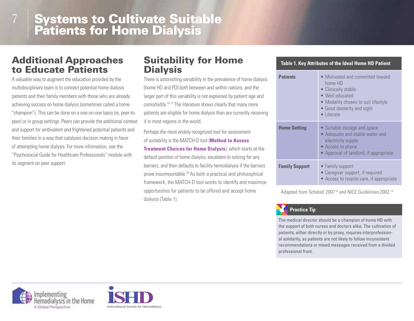#### Additional Approaches to Educate Patients

7

A valuable way to augment the education provided by the multidisciplinary team is to connect potential home dialysis patients and their family members with those who are already achieving success on home dialysis (sometimes called a home "champion"). This can be done on a one-on-one basis (ie, peer-topeer) or in group settings. Peers can provide the additional context and support for ambivalent and frightened potential patients and their families in a way that catalyzes decision making in favor of attempting home dialysis. For more information, see the "Psychosocial Guide for Healthcare Professionals" module with its segment on peer support.

### Suitability for Home **Dialysis**

There is astonishing variability in the prevalence of home dialysis (home HD and PD) both between and within nations, and the larger part of this variability is not explained by patient age and comorbidity.15-17 The literature shows clearly that many more patients are eligible for home dialysis than are currently receiving it in most regions in the world.

Perhaps the most widely recognized tool for assessment of suitability is the MATCH-D tool (**Method to Assess Treatment Choices for Home Dialysis**), which starts at the default position of home dialysis, escalates to solving for any barriers, and then defaults to facility hemodialysis if the barriers prove insurmountable.18 As both a practical and philosophical framework, the MATCH-D tool works to identify and maximize opportunities for patients to be offered and accept home dialysis (Table 1).

#### **Table 1. Key Attributes of the Ideal Home HD Patient Patients** • Motivated and committed toward home HD • Clinically stable • Well educated • Modality chosen to suit lifestyle • Good dexterity and sight • Literate **Home Setting •** Suitable storage and space • Adequate and stable water and electricity supply • Access to phone • Approval of landlord, if appropriate **Family Support** • Family support • Caregiver support, if required • Access to respite care, if appropriate

Adapted from Schatell 2007<sup>18</sup> and NICE Guidelines 2002.<sup>13</sup>

#### **Practice Tip**

The medical director should be a champion of home HD with the support of both nurses and doctors alike. The cultivation of patients, either directly or by proxy, requires interprofessional solidarity, as patients are not likely to follow inconsistent recommendations or mixed messages received from a divided professional front.



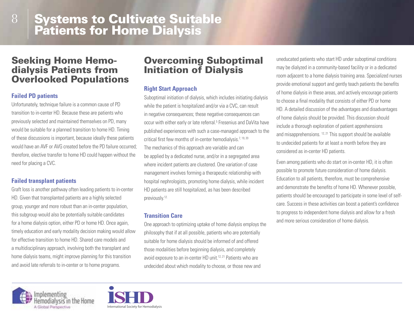#### Seeking Home Hemodialysis Patients from Overlooked Populations

#### **Failed PD patients**

8

Unfortunately, technique failure is a common cause of PD transition to in-center HD. Because these are patients who previously selected and maintained themselves on PD, many would be suitable for a planned transition to home HD. Timing of these discussions is important, because ideally these patients would have an AVF or AVG created before the PD failure occurred; therefore, elective transfer to home HD could happen without the need for placing a CVC.

#### **Failed transplant patients**

Graft loss is another pathway often leading patients to in-center HD. Given that transplanted patients are a highly selected group, younger and more robust than an in-center population, this subgroup would also be potentially suitable candidates for a home dialysis option, either PD or home HD. Once again, timely education and early modality decision making would allow for effective transition to home HD. Shared care models and a multidisciplinary approach, involving both the transplant and home dialysis teams, might improve planning for this transition and avoid late referrals to in-center or to home programs.

#### Overcoming Suboptimal Initiation of Dialysis

#### **Right Start Approach**

Suboptimal initiation of dialysis, which includes initiating dialysis while the patient is hospitalized and/or via a CVC, can result in negative consequences; these negative consequences can occur with either early or late referral.<sup>5</sup> Fresenius and DaVita have published experiences with such a case-managed approach to the critical first few months of in-center hemodialysis.<sup>7, 19, 20</sup> The mechanics of this approach are variable and can be applied by a dedicated nurse, and/or in a segregated area where incident patients are clustered. One variation of case management involves forming a therapeutic relationship with hospital nephrologists, promoting home dialysis, while incident HD patients are still hospitalized, as has been described previously.<sup>12.</sup>

#### **Transition Care**

One approach to optimizing uptake of home dialysis employs the philosophy that if at all possible, patients who are potentially suitable for home dialysis should be informed of and offered those modalities before beginning dialysis, and completely avoid exposure to an in-center HD unit.<sup>12, 21</sup> Patients who are undecided about which modality to choose, or those new and

uneducated patients who start HD under suboptimal conditions may be dialyzed in a community-based facility or in a dedicated room adjacent to a home dialysis training area. Specialized nurses provide emotional support and gently teach patients the benefits of home dialysis in these areas, and actively encourage patients to choose a final modality that consists of either PD or home HD. A detailed discussion of the advantages and disadvantages of home dialysis should be provided. This discussion should include a thorough exploration of patient apprehensions and misapprehensions.  $12, 21$  This support should be available to undecided patients for at least a month before they are considered as in-center HD patients.

Even among patients who do start on in-center HD, it is often possible to promote future consideration of home dialysis. Education to all patients, therefore, must be comprehensive and demonstrate the benefits of home HD. Whenever possible, patients should be encouraged to participate in some level of selfcare. Success in these activities can boost a patient's confidence to progress to independent home dialysis and allow for a fresh and more serious consideration of home dialysis.



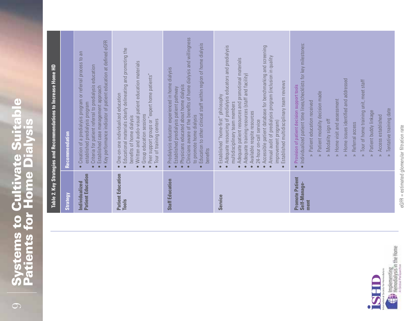# **Systems to Cultivate Suitable<br>Patients for Home Dialysis** Systems to Cultivate Suitable Patients for Home Dialysis

|                                                | Table 2. Key Strategies and Recommendations to Increase Home HD                                                                                                                                                                                                                                                                                                                                                                                                                                                                                                                                                  |
|------------------------------------------------|------------------------------------------------------------------------------------------------------------------------------------------------------------------------------------------------------------------------------------------------------------------------------------------------------------------------------------------------------------------------------------------------------------------------------------------------------------------------------------------------------------------------------------------------------------------------------------------------------------------|
| Strategy                                       | Recommendation                                                                                                                                                                                                                                                                                                                                                                                                                                                                                                                                                                                                   |
| <b>Patient Education</b><br>Individualized     | eGFR<br>at defined<br>an<br>C <sub>1</sub><br>Creation of a predialysis program or referral process<br>Criteria for patient referral to predialysis education<br>Key performance indicator of patient education<br>Established case management approach<br>established predialysis program<br>$\bullet$<br>$\bullet$<br>$\bullet$<br>$\bullet$                                                                                                                                                                                                                                                                   |
| <b>Patient Education</b><br>Tools              | Educational materials clearly delineating and promoting the<br>Written and audio-visual patient education materials<br>"expert home patients"<br>One-on-one individualized education<br>Group education sessions<br>benefits of home dialysis<br>Tour of training centers<br>Peer support groups or<br>$\bullet$                                                                                                                                                                                                                                                                                                 |
| <b>Staff Education</b>                         | Clinicians aware of the benefits of home dialysis and willingness<br>Education to other clinical staff within region of home dialysis<br>Predialysis educator experienced in home dialysis<br>Physicians educated about home dialysis<br>Established predialysis patient pathway<br>to promote home dialysis<br>benefits<br>$\bullet$<br>$\bullet$                                                                                                                                                                                                                                                               |
| <b>Service</b>                                 | Adequate resourcing of predialysis educators and predialysis<br>Accessible patient database for benchmarking and screening<br>Annual audit of predialysis program (inclusion in quality<br>Adequate patient resources and promotional materials<br>Adequate training resources (staff and facility)<br>Established multidisciplinary team reviews<br>Established "home-first" philosophy<br>multidisciplinary team members<br>Available respite resources<br>24-hour on-call service<br>improvement program)<br>$\bullet$<br>$\bullet$                                                                           |
| <b>Promote Patient</b><br>Self-Manage-<br>ment | Individualized patient time lines/checklists for key milestones:<br>Home issues identified and addressed<br>Tour of home training unit, meet staff<br>Provision of patient decision support tools<br>Patient modality decision made<br>Home visit and assessment<br>Patient education received<br>Tentative training date<br>Patient buddy linkage<br>established<br>Modality sign off<br>Referral access<br>Access<br>$\hat{z}$<br>$\hat{z}$<br>$\hat{\mathbb{R}}$<br>$\hat{\mathcal{R}}$<br>$\hat{z}$<br>$\hat{z}$<br>$\hat{\mathbb{R}}$<br>$\hat{\mathbb{R}}$<br>$\hat{\mathbb{1}}$<br>$\bullet$<br>$\bullet$ |



eGFR = estimated glomerular filtration rate eGFR = estimated glomerular filtration rate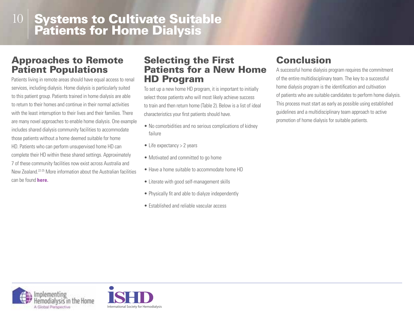#### Approaches to Remote Patient Populations

Patients living in remote areas should have equal access to renal services, including dialysis. Home dialysis is particularly suited to this patient group. Patients trained in home dialysis are able to return to their homes and continue in their normal activities with the least interruption to their lives and their families. There are many novel approaches to enable home dialysis. One example includes shared dialysis community facilities to accommodate those patients without a home deemed suitable for home HD. Patients who can perform unsupervised home HD can complete their HD within these shared settings. Approximately 7 of these community facilities now exist across Australia and New Zealand.22-25 More information about the Australian facilities can be found **here.**

#### Selecting the First Patients for a New Home HD Program

To set up a new home HD program, it is important to initially select those patients who will most likely achieve success to train and then return home (Table 2). Below is a list of ideal characteristics your first patients should have.

- No comorbidities and no serious complications of kidney failure
- Life expectancy > 2 years
- Motivated and committed to go home
- Have a home suitable to accommodate home HD
- Literate with good self-management skills
- Physically fit and able to dialyze independently
- Established and reliable vascular access

# Conclusion

A successful home dialysis program requires the commitment of the entire multidisciplinary team. The key to a successful home dialysis program is the identification and cultivation of patients who are suitable candidates to perform home dialysis. This process must start as early as possible using established guidelines and a multidisciplinary team approach to active promotion of home dialysis for suitable patients.



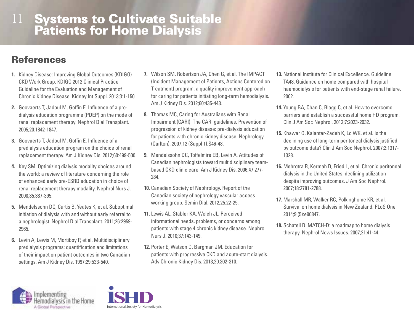# References

- **1.** Kidney Disease: Improving Global Outcomes (KDIGO) CKD Work Group. KDIGO 2012 Clinical Practice Guideline for the Evaluation and Management of Chronic Kidney Disease. Kidney Int Suppl. 2013;3:1-150
- **2.** Goovaerts T, Jadoul M, Goffin E. Influence of a predialysis education programme (PDEP) on the mode of renal replacement therapy. Nephrol Dial Transplant. 2005;20:1842-1847.
- **3.** Goovaerts T, Jadoul M, Goffin E. Influence of a predialysis education program on the choice of renal replacement therapy. Am J Kidney Dis. 2012;60:499-500.
- **4.** Key SM. Optimizing dialysis modality choices around the world: a review of literature concerning the role of enhanced early pre-ESRD education in choice of renal replacement therapy modality. Nephrol Nurs J. 2008;35:387-395.
- **5.** Mendelssohn DC, Curtis B, Yeates K, et al. Suboptimal initiation of dialysis with and without early referral to a nephrologist. Nephrol Dial Transplant. 2011;26:2959- 2965.
- **6.** Levin A, Lewis M, Mortiboy P, et al. Multidisciplinary predialysis programs: quantification and limitations of their impact on patient outcomes in two Canadian settings. Am J Kidney Dis. 1997;29:533-540.
- **7.** Wilson SM, Robertson JA, Chen G, et al. The IMPACT (Incident Management of Patients, Actions Centered on Treatment) program: a quality improvement approach for caring for patients initiating long-term hemodialysis. Am J Kidney Dis. 2012;60:435-443.
- **8.** Thomas MC, Caring for Australians with Renal Impairment (CARI). The CARI guidelines. Prevention of progression of kidney disease: pre-dialysis education for patients with chronic kidney disease. Nephrology (Carlton). 2007;12 (Suppl 1):S46-48.
- **9.** Mendelssohn DC, Toffelmire EB, Levin A. Attitudes of Canadian nephrologists toward multidisciplinary teambased CKD clinic care. Am J Kidney Dis. 2006;47:277- 284.
- **10.** Canadian Society of Nephrology. Report of the Canadian society of nephrology vascular access working group. Semin Dial. 2012;25:22-25.
- **11.** Lewis AL, Stabler KA, Welch JL. Perceived informational needs, problems, or concerns among patients with stage 4 chronic kidney disease. Nephrol Nurs J. 2010;37:143-149.
- **12.** Porter E, Watson D, Bargman JM. Education for patients with progressive CKD and acute-start dialysis. Adv Chronic Kidney Dis. 2013;20:302-310.
- **13.** National Institute for Clinical Excellence. Guideline TA48. Guidance on home compared with hospital haemodialysis for patients with end-stage renal failure. 2002.
- **14.** Young BA, Chan C, Blagg C, et al. How to overcome barriers and establish a successful home HD program. Clin J Am Soc Nephrol. 2012;7:2023-2032.
- **15.** Khawar O, Kalantar-Zadeh K, Lo WK, et al. Is the declining use of long-term peritoneal dialysis justified by outcome data? Clin J Am Soc Nephrol. 2007;2:1317- 1328.
- **16.** Mehrotra R, Kermah D, Fried L, et al. Chronic peritoneal dialysis in the United States: declining utilization despite improving outcomes. J Am Soc Nephrol. 2007;18:2781-2788.
- **17.** Marshall MR, Walker RC, Polkinghome KR, et al. Survival on home dialysis in New Zealand. PLoS One 2014;9 (5):e96847.
- **18.** Schatell D. MATCH-D: a roadmap to home dialysis therapy. Nephrol News Issues. 2007;21:41-44.